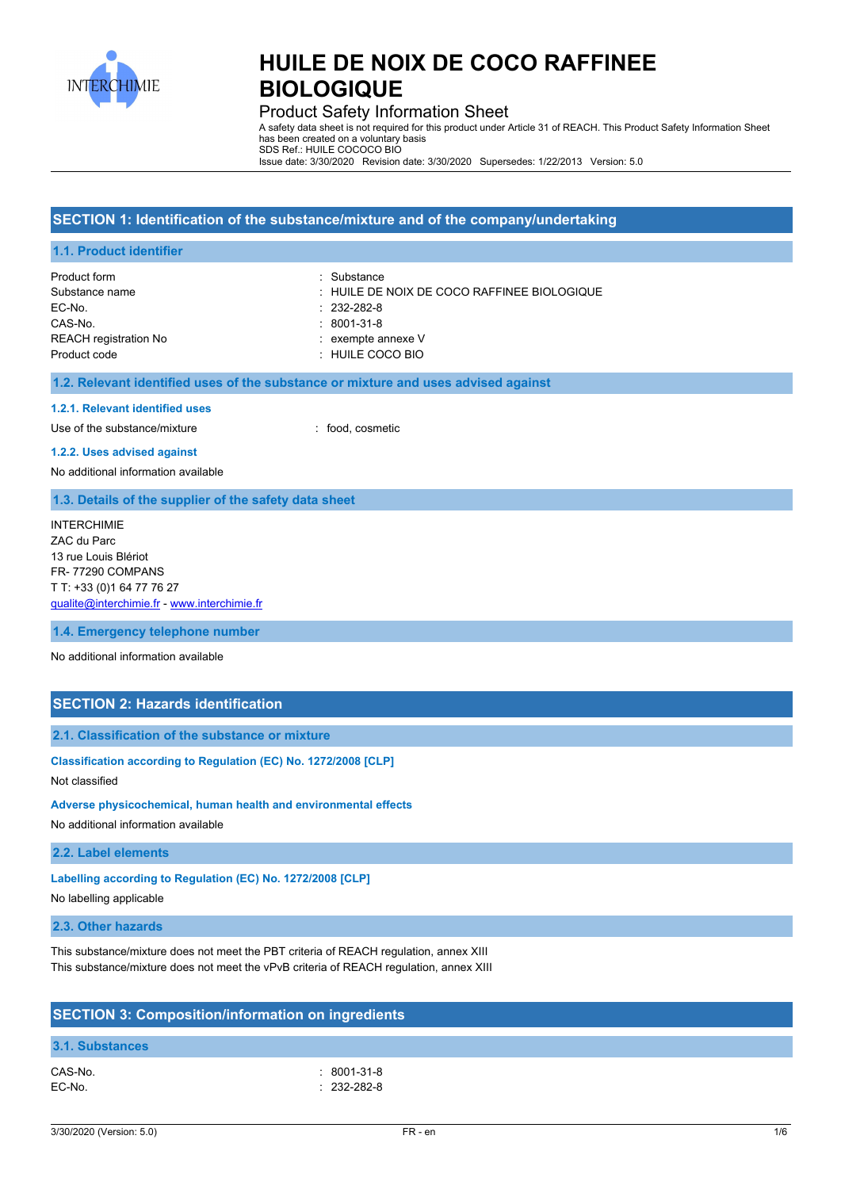

## Product Safety Information Sheet

A safety data sheet is not required for this product under Article 31 of REACH. This Product Safety Information Sheet has been created on a voluntary basis SDS Ref.: HUILE COCOCO BIO

Issue date: 3/30/2020 Revision date: 3/30/2020 Supersedes: 1/22/2013 Version: 5.0

### **SECTION 1: Identification of the substance/mixture and of the company/undertaking**

| Product form                 | : Substance                                 |
|------------------------------|---------------------------------------------|
| Substance name               | : HUILE DE NOIX DE COCO RAFFINEE BIOLOGIQUE |
| EC-No.                       | $: 232 - 282 - 8$                           |
| CAS-No.                      | $:8001-31-8$                                |
| <b>REACH registration No</b> | $:$ exempte annexe $V$                      |
| Product code                 | $\pm$ HUILE COCO BIO                        |

### **1.2. Relevant identified uses of the substance or mixture and uses advised against**

#### **1.2.1. Relevant identified uses**

Use of the substance/mixture in the substance/mixture in the substance of the substance of the substance of the substance/mixture in the substance of the substance of the substance of the substance of the substance/mixture

#### **1.2.2. Uses advised against**

No additional information available

### **1.3. Details of the supplier of the safety data sheet**

INTERCHIMIE ZAC du Parc 13 rue Louis Blériot FR- 77290 COMPANS T T: +33 (0)1 64 77 76 27 [qualite@interchimie.fr](mailto:qualite@interchimie.fr) - <www.interchimie.fr>

**1.4. Emergency telephone number**

No additional information available

## **SECTION 2: Hazards identification**

### **2.1. Classification of the substance or mixture**

## **Classification according to Regulation (EC) No. 1272/2008 [CLP]**

Not classified

#### **Adverse physicochemical, human health and environmental effects**

No additional information available

#### **2.2. Label elements**

**Labelling according to Regulation (EC) No. 1272/2008 [CLP]**

No labelling applicable

## **2.3. Other hazards**

This substance/mixture does not meet the PBT criteria of REACH regulation, annex XIII This substance/mixture does not meet the vPvB criteria of REACH regulation, annex XIII

| <b>SECTION 3: Composition/information on ingredients</b> |                                   |  |  |
|----------------------------------------------------------|-----------------------------------|--|--|
| 3.1. Substances                                          |                                   |  |  |
| CAS-No.<br>EC-No.                                        | $: 8001 - 31 - 8$<br>$.232-282-8$ |  |  |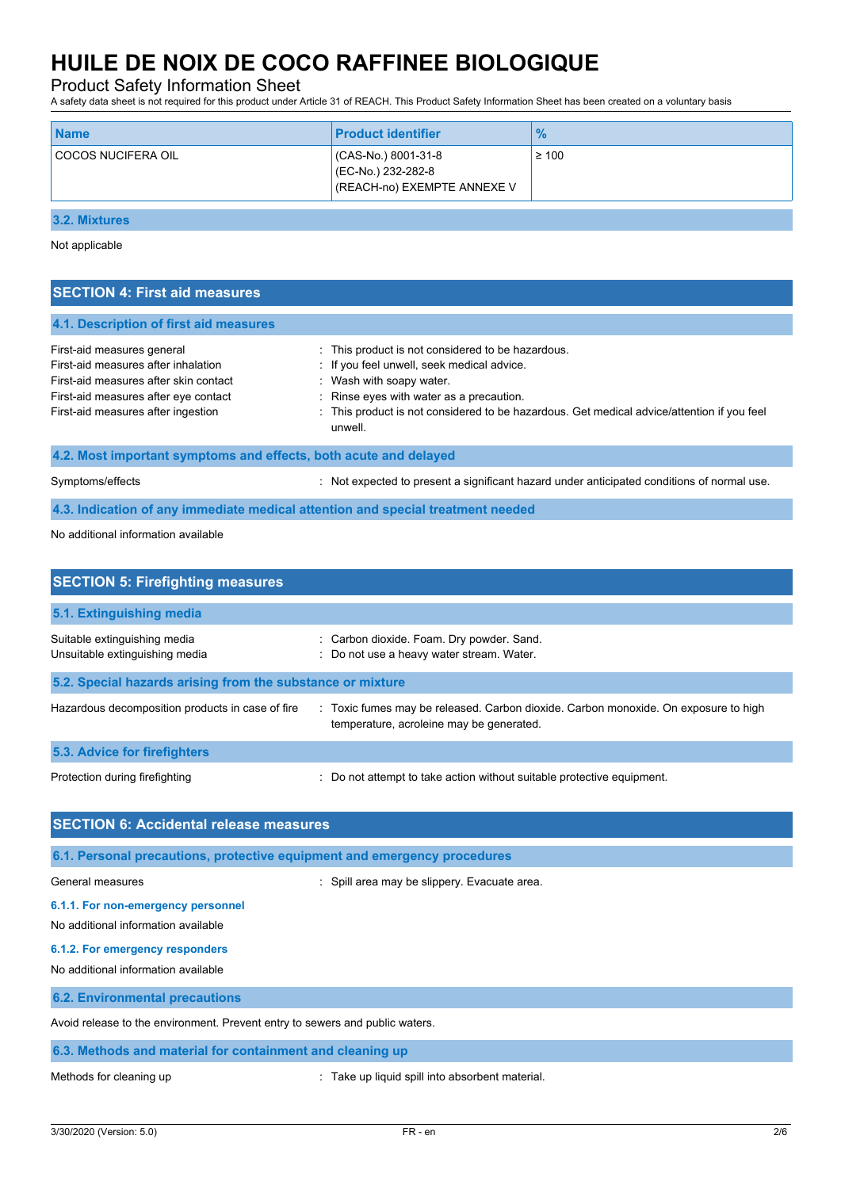# Product Safety Information Sheet

A safety data sheet is not required for this product under Article 31 of REACH. This Product Safety Information Sheet has been created on a voluntary basis

| <b>COCOS NUCIFERA OIL</b><br>CAS-No.) 8001-31-8 | $\geq 100$                  |
|-------------------------------------------------|-----------------------------|
| (EC-No.) 232-282-8                              | (REACH-no) EXEMPTE ANNEXE V |

**3.2. Mixtures**

Not applicable

| <b>SECTION 4: First aid measures</b>                                                                                                                                                     |                                                                                                                                                                                                                                                                                |  |
|------------------------------------------------------------------------------------------------------------------------------------------------------------------------------------------|--------------------------------------------------------------------------------------------------------------------------------------------------------------------------------------------------------------------------------------------------------------------------------|--|
| 4.1. Description of first aid measures                                                                                                                                                   |                                                                                                                                                                                                                                                                                |  |
| First-aid measures general<br>First-aid measures after inhalation<br>First-aid measures after skin contact<br>First-aid measures after eye contact<br>First-aid measures after ingestion | : This product is not considered to be hazardous.<br>: If you feel unwell, seek medical advice.<br>: Wash with soapy water.<br>Rinse eyes with water as a precaution.<br>: This product is not considered to be hazardous. Get medical advice/attention if you feel<br>unwell. |  |
| 4.2. Most important symptoms and effects, both acute and delayed                                                                                                                         |                                                                                                                                                                                                                                                                                |  |
| Symptoms/effects                                                                                                                                                                         | Not expected to present a significant hazard under anticipated conditions of normal use.                                                                                                                                                                                       |  |
|                                                                                                                                                                                          | 4.3. Indication of any immediate medical attention and special treatment needed                                                                                                                                                                                                |  |
| No additional information available                                                                                                                                                      |                                                                                                                                                                                                                                                                                |  |

| <b>SECTION 5: Firefighting measures</b>                        |                                                                                                                                 |
|----------------------------------------------------------------|---------------------------------------------------------------------------------------------------------------------------------|
| 5.1. Extinguishing media                                       |                                                                                                                                 |
| Suitable extinguishing media<br>Unsuitable extinguishing media | : Carbon dioxide. Foam. Dry powder. Sand.<br>: Do not use a heavy water stream. Water.                                          |
| 5.2. Special hazards arising from the substance or mixture     |                                                                                                                                 |
| Hazardous decomposition products in case of fire               | : Toxic fumes may be released. Carbon dioxide. Carbon monoxide. On exposure to high<br>temperature, acroleine may be generated. |
| 5.3. Advice for firefighters                                   |                                                                                                                                 |
| Protection during firefighting                                 | : Do not attempt to take action without suitable protective equipment.                                                          |

| <b>SECTION 6: Accidental release measures</b>                                |                                              |  |
|------------------------------------------------------------------------------|----------------------------------------------|--|
| 6.1. Personal precautions, protective equipment and emergency procedures     |                                              |  |
| General measures                                                             | : Spill area may be slippery. Evacuate area. |  |
| 6.1.1. For non-emergency personnel<br>No additional information available    |                                              |  |
| 6.1.2. For emergency responders<br>No additional information available       |                                              |  |
| <b>6.2. Environmental precautions</b>                                        |                                              |  |
| Avoid release to the environment. Prevent entry to sewers and public waters. |                                              |  |
| 6.3. Methods and material for containment and cleaning up                    |                                              |  |

Methods for cleaning up **interpretional** : Take up liquid spill into absorbent material.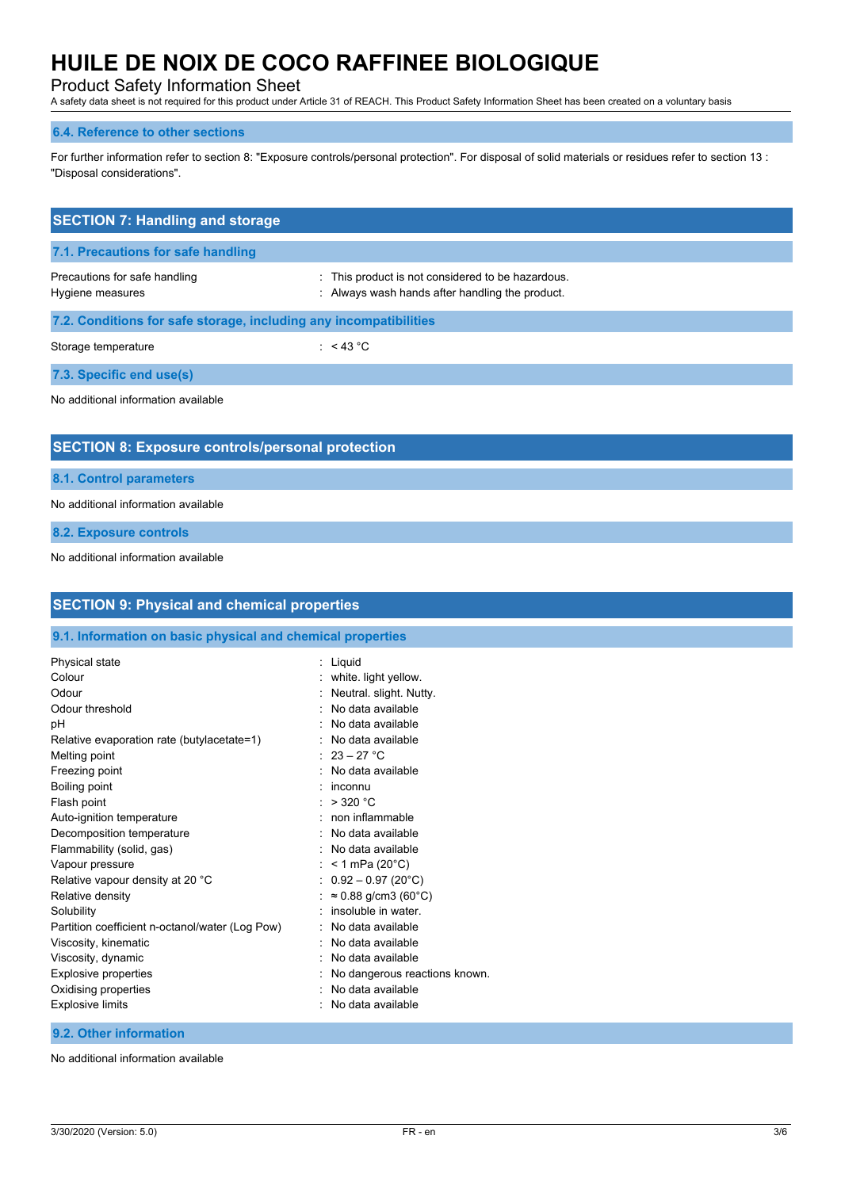# Product Safety Information Sheet

A safety data sheet is not required for this product under Article 31 of REACH. This Product Safety Information Sheet has been created on a voluntary basis

### **6.4. Reference to other sections**

For further information refer to section 8: "Exposure controls/personal protection". For disposal of solid materials or residues refer to section 13 : "Disposal considerations".

| <b>SECTION 7: Handling and storage</b>                            |                                                                                                      |  |
|-------------------------------------------------------------------|------------------------------------------------------------------------------------------------------|--|
| 7.1. Precautions for safe handling                                |                                                                                                      |  |
| Precautions for safe handling<br>Hygiene measures                 | : This product is not considered to be hazardous.<br>: Always wash hands after handling the product. |  |
| 7.2. Conditions for safe storage, including any incompatibilities |                                                                                                      |  |
| Storage temperature                                               | : $<$ 43 °C                                                                                          |  |
| 7.3. Specific end use(s)                                          |                                                                                                      |  |
| No additional information available                               |                                                                                                      |  |
| <b>SECTION 8: Exposure controls/personal protection</b>           |                                                                                                      |  |
| 8.1. Control parameters                                           |                                                                                                      |  |
| No additional information available                               |                                                                                                      |  |
| 8.2. Exposure controls                                            |                                                                                                      |  |
| No additional information available                               |                                                                                                      |  |

| <b>SECTION 9: Physical and chemical properties</b>         |                               |
|------------------------------------------------------------|-------------------------------|
| 9.1. Information on basic physical and chemical properties |                               |
| Physical state                                             | : Liquid                      |
| Colour                                                     | white. light yellow.          |
| Odour                                                      | Neutral. slight. Nutty.       |
| Odour threshold                                            | No data available<br>۰        |
| рH                                                         | No data available             |
| Relative evaporation rate (butylacetate=1)                 | No data available             |
| Melting point                                              | $23 - 27$ °C                  |
| Freezing point                                             | No data available             |
| <b>Boiling point</b>                                       | inconnu<br>٠                  |
| Flash point                                                | $>$ 320 °C                    |
| Auto-ignition temperature                                  | non inflammable<br>۰.         |
| Decomposition temperature                                  | No data available             |
| Flammability (solid, gas)                                  | No data available             |
| Vapour pressure                                            | $< 1$ mPa (20 $^{\circ}$ C)   |
| Relative vapour density at 20 °C                           | $0.92 - 0.97$ (20°C)          |
| Relative density                                           | $\approx 0.88$ g/cm3 (60°C)   |
| Solubility                                                 | insoluble in water.           |
| Partition coefficient n-octanol/water (Log Pow)            | No data available             |
| Viscosity, kinematic                                       | No data available             |
| Viscosity, dynamic                                         | No data available             |
| <b>Explosive properties</b>                                | No dangerous reactions known. |
| Oxidising properties                                       | No data available             |
| <b>Explosive limits</b>                                    | No data available             |
| 9.2. Other information                                     |                               |

No additional information available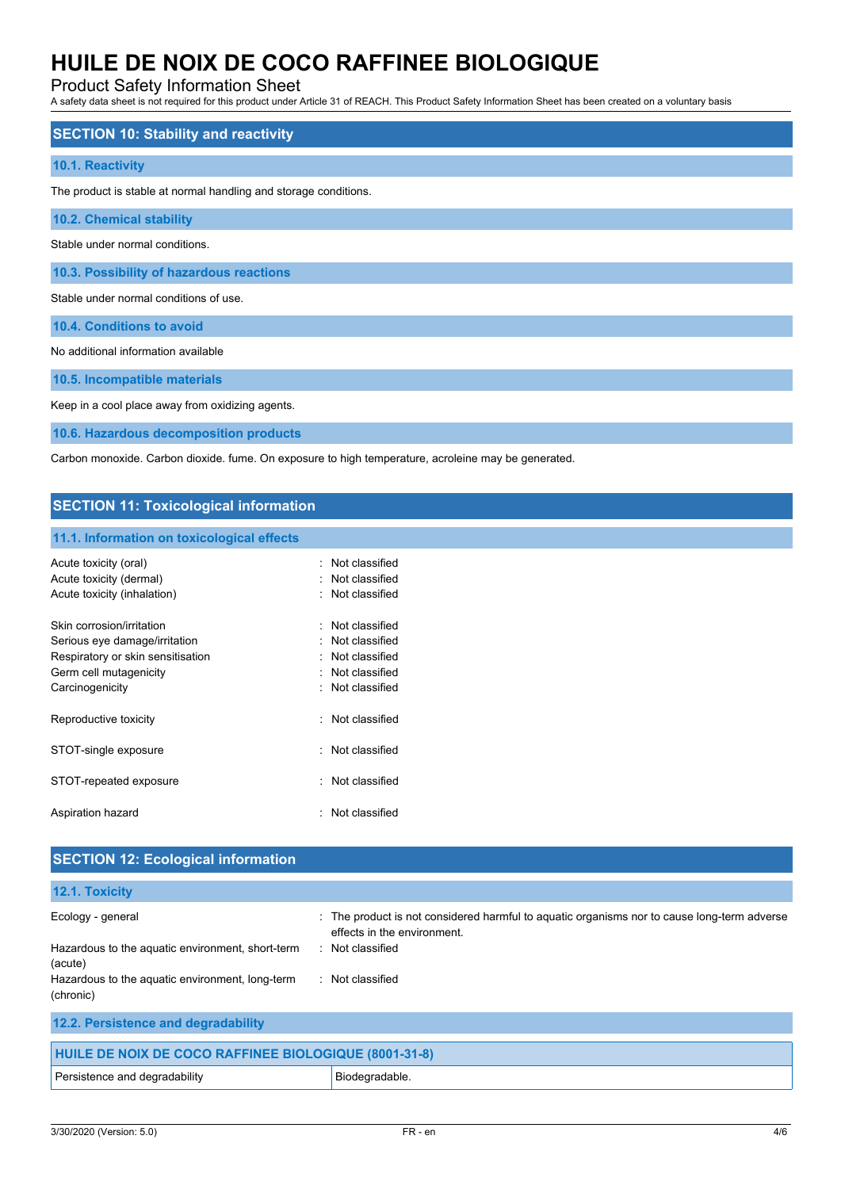# Product Safety Information Sheet

A safety data sheet is not required for this product under Article 31 of REACH. This Product Safety Information Sheet has been created on a voluntary basis

| <b>SECTION 10: Stability and reactivity</b>                      |
|------------------------------------------------------------------|
| 10.1. Reactivity                                                 |
| The product is stable at normal handling and storage conditions. |
| <b>10.2. Chemical stability</b>                                  |
| Stable under normal conditions.                                  |
| 10.3. Possibility of hazardous reactions                         |
| Stable under normal conditions of use.                           |
| 10.4. Conditions to avoid                                        |
| No additional information available                              |
| 10.5. Incompatible materials                                     |

Keep in a cool place away from oxidizing agents.

**10.6. Hazardous decomposition products**

Carbon monoxide. Carbon dioxide. fume. On exposure to high temperature, acroleine may be generated.

## **SECTION 11: Toxicological information**

### **11.1. Information on toxicological effects**

| Acute toxicity (oral)<br>Acute toxicity (dermal) | Not classified<br>: Not classified |
|--------------------------------------------------|------------------------------------|
| Acute toxicity (inhalation)                      | $:$ Not classified                 |
| Skin corrosion/irritation                        | Not classified                     |
| Serious eye damage/irritation                    | $:$ Not classified                 |
| Respiratory or skin sensitisation                | . Not classified                   |
| Germ cell mutagenicity                           | Not classified                     |
| Carcinogenicity                                  | $:$ Not classified                 |
| Reproductive toxicity                            | Not classified                     |
| STOT-single exposure                             | Not classified                     |
| STOT-repeated exposure                           | Not classified                     |
| Aspiration hazard                                | Not classified                     |

| <b>SECTION 12: Ecological information</b>                    |                                                                                                                            |  |
|--------------------------------------------------------------|----------------------------------------------------------------------------------------------------------------------------|--|
| 12.1. Toxicity                                               |                                                                                                                            |  |
| Ecology - general                                            | : The product is not considered harmful to aquatic organisms nor to cause long-term adverse<br>effects in the environment. |  |
| Hazardous to the aquatic environment, short-term<br>(acute)  | : Not classified                                                                                                           |  |
| Hazardous to the aquatic environment, long-term<br>(chronic) | : Not classified                                                                                                           |  |
| 12.2. Persistence and degradability                          |                                                                                                                            |  |
| <b>HUILE DE NOIX DE COCO RAFFINEE BIOLOGIQUE (8001-31-8)</b> |                                                                                                                            |  |

| Persistence and degradability | Biodegradable |
|-------------------------------|---------------|
|                               |               |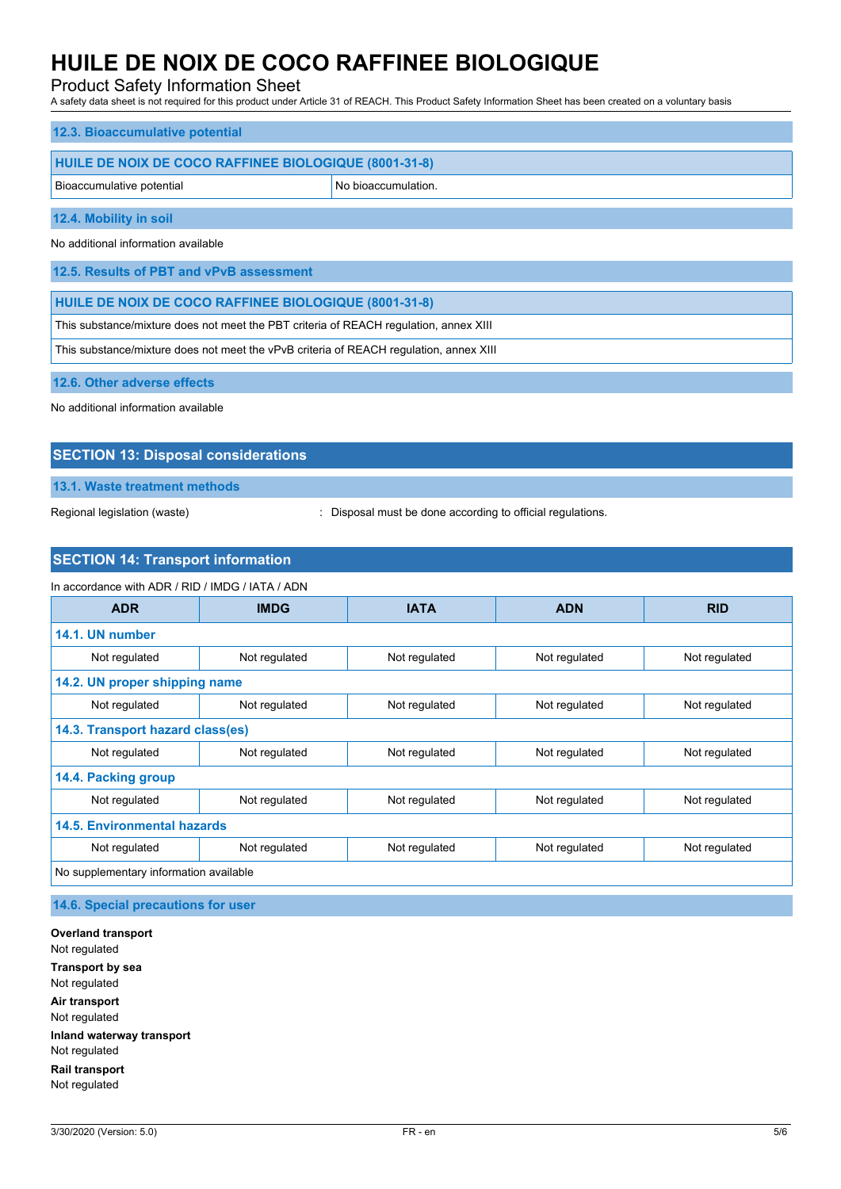# Product Safety Information Sheet

A safety data sheet is not required for this product under Article 31 of REACH. This Product Safety Information Sheet has been created on a voluntary basis

| 12.3. Bioaccumulative potential                       |                     |  |  |  |
|-------------------------------------------------------|---------------------|--|--|--|
| HUILE DE NOIX DE COCO RAFFINEE BIOLOGIQUE (8001-31-8) |                     |  |  |  |
| Bioaccumulative potential                             | No bioaccumulation. |  |  |  |
| 12.4. Mobility in soil                                |                     |  |  |  |

No additional information available

**12.5. Results of PBT and vPvB assessment**

**HUILE DE NOIX DE COCO RAFFINEE BIOLOGIQUE (8001-31-8)**

This substance/mixture does not meet the PBT criteria of REACH regulation, annex XIII

This substance/mixture does not meet the vPvB criteria of REACH regulation, annex XIII

**12.6. Other adverse effects**

No additional information available

## **SECTION 13: Disposal considerations**

**13.1. Waste treatment methods**

Regional legislation (waste)  $\qquad \qquad$ : Disposal must be done according to official regulations.

## **SECTION 14: Transport information**

### In accordance with ADR / RID / IMDG / IATA / ADN

| <b>ADR</b>                             | <b>IMDG</b>   | <b>IATA</b>   | <b>ADN</b>    | <b>RID</b>    |
|----------------------------------------|---------------|---------------|---------------|---------------|
| 14.1. UN number                        |               |               |               |               |
| Not regulated                          | Not regulated | Not regulated | Not regulated | Not regulated |
| 14.2. UN proper shipping name          |               |               |               |               |
| Not regulated                          | Not regulated | Not regulated | Not regulated | Not regulated |
| 14.3. Transport hazard class(es)       |               |               |               |               |
| Not regulated                          | Not regulated | Not regulated | Not regulated | Not regulated |
| 14.4. Packing group                    |               |               |               |               |
| Not regulated                          | Not regulated | Not regulated | Not regulated | Not regulated |
| 14.5. Environmental hazards            |               |               |               |               |
| Not regulated                          | Not regulated | Not regulated | Not regulated | Not regulated |
| No supplementary information available |               |               |               |               |

**14.6. Special precautions for user**

**Overland transport** Not regulated **Transport by sea** Not regulated **Air transport** Not regulated **Inland waterway transport** Not regulated **Rail transport** Not regulated